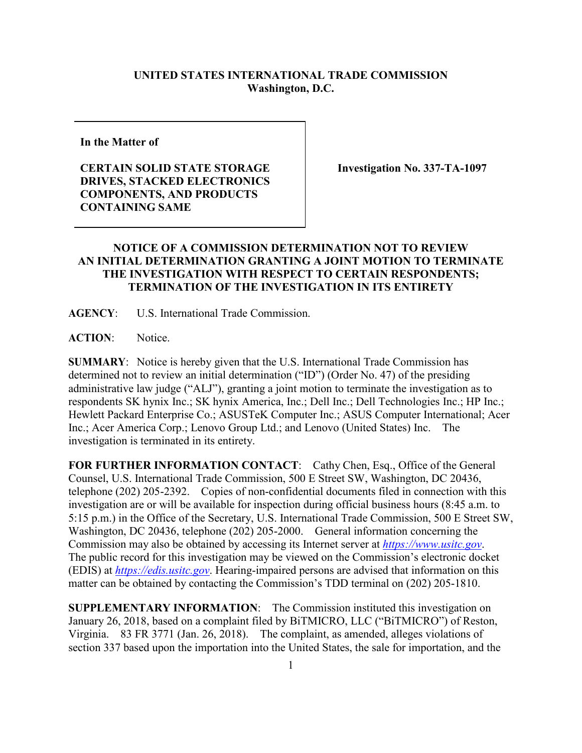## **UNITED STATES INTERNATIONAL TRADE COMMISSION Washington, D.C.**

**In the Matter of**

## **CERTAIN SOLID STATE STORAGE DRIVES, STACKED ELECTRONICS COMPONENTS, AND PRODUCTS CONTAINING SAME**

**Investigation No. 337-TA-1097**

## **NOTICE OF A COMMISSION DETERMINATION NOT TO REVIEW AN INITIAL DETERMINATION GRANTING A JOINT MOTION TO TERMINATE THE INVESTIGATION WITH RESPECT TO CERTAIN RESPONDENTS; TERMINATION OF THE INVESTIGATION IN ITS ENTIRETY**

**AGENCY**: U.S. International Trade Commission.

**ACTION**: Notice.

**SUMMARY**: Notice is hereby given that the U.S. International Trade Commission has determined not to review an initial determination ("ID") (Order No. 47) of the presiding administrative law judge ("ALJ"), granting a joint motion to terminate the investigation as to respondents SK hynix Inc.; SK hynix America, Inc.; Dell Inc.; Dell Technologies Inc.; HP Inc.; Hewlett Packard Enterprise Co.; ASUSTeK Computer Inc.; ASUS Computer International; Acer Inc.; Acer America Corp.; Lenovo Group Ltd.; and Lenovo (United States) Inc. The investigation is terminated in its entirety.

FOR FURTHER INFORMATION CONTACT: Cathy Chen, Esq., Office of the General Counsel, U.S. International Trade Commission, 500 E Street SW, Washington, DC 20436, telephone (202) 205-2392. Copies of non-confidential documents filed in connection with this investigation are or will be available for inspection during official business hours (8:45 a.m. to 5:15 p.m.) in the Office of the Secretary, U.S. International Trade Commission, 500 E Street SW, Washington, DC 20436, telephone (202) 205-2000. General information concerning the Commission may also be obtained by accessing its Internet server at *[https://www.usitc.gov](https://www.usitc.gov/)*. The public record for this investigation may be viewed on the Commission's electronic docket (EDIS) at *[https://edis.usitc.gov](https://edis.usitc.gov/)*. Hearing-impaired persons are advised that information on this matter can be obtained by contacting the Commission's TDD terminal on (202) 205-1810.

**SUPPLEMENTARY INFORMATION**: The Commission instituted this investigation on January 26, 2018, based on a complaint filed by BiTMICRO, LLC ("BiTMICRO") of Reston, Virginia. 83 FR 3771 (Jan. 26, 2018). The complaint, as amended, alleges violations of section 337 based upon the importation into the United States, the sale for importation, and the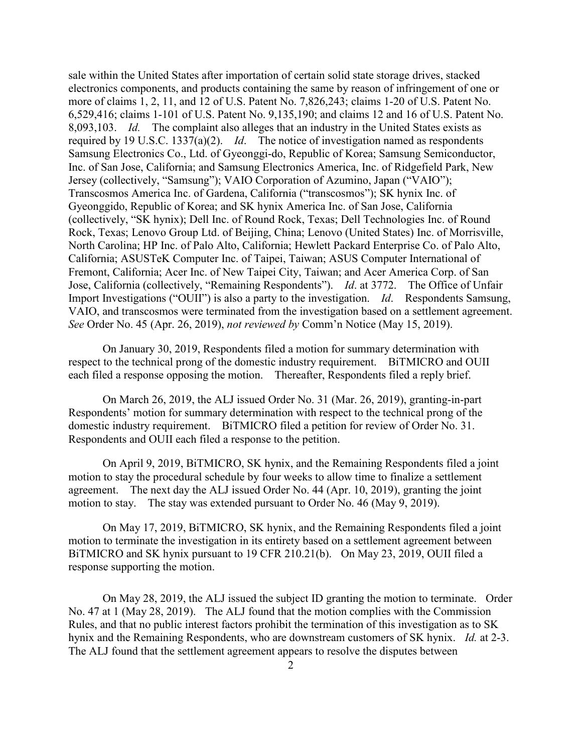sale within the United States after importation of certain solid state storage drives, stacked electronics components, and products containing the same by reason of infringement of one or more of claims 1, 2, 11, and 12 of U.S. Patent No. 7,826,243; claims 1-20 of U.S. Patent No. 6,529,416; claims 1-101 of U.S. Patent No. 9,135,190; and claims 12 and 16 of U.S. Patent No. 8,093,103. *Id.* The complaint also alleges that an industry in the United States exists as required by 19 U.S.C. 1337(a)(2). *Id*. The notice of investigation named as respondents Samsung Electronics Co., Ltd. of Gyeonggi-do, Republic of Korea; Samsung Semiconductor, Inc. of San Jose, California; and Samsung Electronics America, Inc. of Ridgefield Park, New Jersey (collectively, "Samsung"); VAIO Corporation of Azumino, Japan ("VAIO"); Transcosmos America Inc. of Gardena, California ("transcosmos"); SK hynix Inc. of Gyeonggido, Republic of Korea; and SK hynix America Inc. of San Jose, California (collectively, "SK hynix); Dell Inc. of Round Rock, Texas; Dell Technologies Inc. of Round Rock, Texas; Lenovo Group Ltd. of Beijing, China; Lenovo (United States) Inc. of Morrisville, North Carolina; HP Inc. of Palo Alto, California; Hewlett Packard Enterprise Co. of Palo Alto, California; ASUSTeK Computer Inc. of Taipei, Taiwan; ASUS Computer International of Fremont, California; Acer Inc. of New Taipei City, Taiwan; and Acer America Corp. of San Jose, California (collectively, "Remaining Respondents"). *Id*. at 3772. The Office of Unfair Import Investigations ("OUII") is also a party to the investigation. *Id*. Respondents Samsung, VAIO, and transcosmos were terminated from the investigation based on a settlement agreement. *See* Order No. 45 (Apr. 26, 2019), *not reviewed by* Comm'n Notice (May 15, 2019).

On January 30, 2019, Respondents filed a motion for summary determination with respect to the technical prong of the domestic industry requirement. BiTMICRO and OUII each filed a response opposing the motion. Thereafter, Respondents filed a reply brief.

On March 26, 2019, the ALJ issued Order No. 31 (Mar. 26, 2019), granting-in-part Respondents' motion for summary determination with respect to the technical prong of the domestic industry requirement. BiTMICRO filed a petition for review of Order No. 31. Respondents and OUII each filed a response to the petition.

On April 9, 2019, BiTMICRO, SK hynix, and the Remaining Respondents filed a joint motion to stay the procedural schedule by four weeks to allow time to finalize a settlement agreement. The next day the ALJ issued Order No. 44 (Apr. 10, 2019), granting the joint motion to stay. The stay was extended pursuant to Order No. 46 (May 9, 2019).

On May 17, 2019, BiTMICRO, SK hynix, and the Remaining Respondents filed a joint motion to terminate the investigation in its entirety based on a settlement agreement between BiTMICRO and SK hynix pursuant to 19 CFR 210.21(b). On May 23, 2019, OUII filed a response supporting the motion.

On May 28, 2019, the ALJ issued the subject ID granting the motion to terminate. Order No. 47 at 1 (May 28, 2019). The ALJ found that the motion complies with the Commission Rules, and that no public interest factors prohibit the termination of this investigation as to SK hynix and the Remaining Respondents, who are downstream customers of SK hynix. *Id.* at 2-3. The ALJ found that the settlement agreement appears to resolve the disputes between